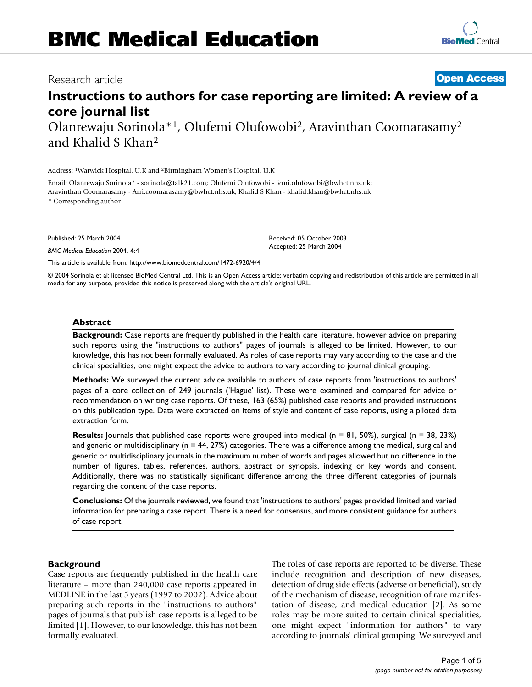## Research article **[Open Access](http://www.biomedcentral.com/info/about/charter/)**

# **Instructions to authors for case reporting are limited: A review of a core journal list**

Olanrewaju Sorinola\*1, Olufemi Olufowobi2, Aravinthan Coomarasamy2 and Khalid S Khan2

Address: 1Warwick Hospital. U.K and 2Birmingham Women's Hospital. U.K

Email: Olanrewaju Sorinola\* - sorinola@talk21.com; Olufemi Olufowobi - femi.olufowobi@bwhct.nhs.uk; Aravinthan Coomarasamy - Arri.coomarasamy@bwhct.nhs.uk; Khalid S Khan - khalid.khan@bwhct.nhs.uk \* Corresponding author

Published: 25 March 2004

*BMC Medical Education* 2004, **4**:4

[This article is available from: http://www.biomedcentral.com/1472-6920/4/4](http://www.biomedcentral.com/1472-6920/4/4)

© 2004 Sorinola et al; licensee BioMed Central Ltd. This is an Open Access article: verbatim copying and redistribution of this article are permitted in all media for any purpose, provided this notice is preserved along with the article's original URL.

#### **Abstract**

**Background:** Case reports are frequently published in the health care literature, however advice on preparing such reports using the "instructions to authors" pages of journals is alleged to be limited. However, to our knowledge, this has not been formally evaluated. As roles of case reports may vary according to the case and the clinical specialities, one might expect the advice to authors to vary according to journal clinical grouping.

**Methods:** We surveyed the current advice available to authors of case reports from 'instructions to authors' pages of a core collection of 249 journals ('Hague' list). These were examined and compared for advice or recommendation on writing case reports. Of these, 163 (65%) published case reports and provided instructions on this publication type. Data were extracted on items of style and content of case reports, using a piloted data extraction form.

**Results:** Journals that published case reports were grouped into medical (n = 81, 50%), surgical (n = 38, 23%) and generic or multidisciplinary ( $n = 44$ , 27%) categories. There was a difference among the medical, surgical and generic or multidisciplinary journals in the maximum number of words and pages allowed but no difference in the number of figures, tables, references, authors, abstract or synopsis, indexing or key words and consent. Additionally, there was no statistically significant difference among the three different categories of journals regarding the content of the case reports.

**Conclusions:** Of the journals reviewed, we found that 'instructions to authors' pages provided limited and varied information for preparing a case report. There is a need for consensus, and more consistent guidance for authors of case report.

#### **Background**

Case reports are frequently published in the health care literature – more than 240,000 case reports appeared in MEDLINE in the last 5 years (1997 to 2002). Advice about preparing such reports in the "instructions to authors" pages of journals that publish case reports is alleged to be limited [1]. However, to our knowledge, this has not been formally evaluated.

The roles of case reports are reported to be diverse. These include recognition and description of new diseases, detection of drug side effects (adverse or beneficial), study of the mechanism of disease, recognition of rare manifestation of disease, and medical education [2]. As some roles may be more suited to certain clinical specialities, one might expect "information for authors" to vary according to journals' clinical grouping. We surveyed and

Received: 05 October 2003 Accepted: 25 March 2004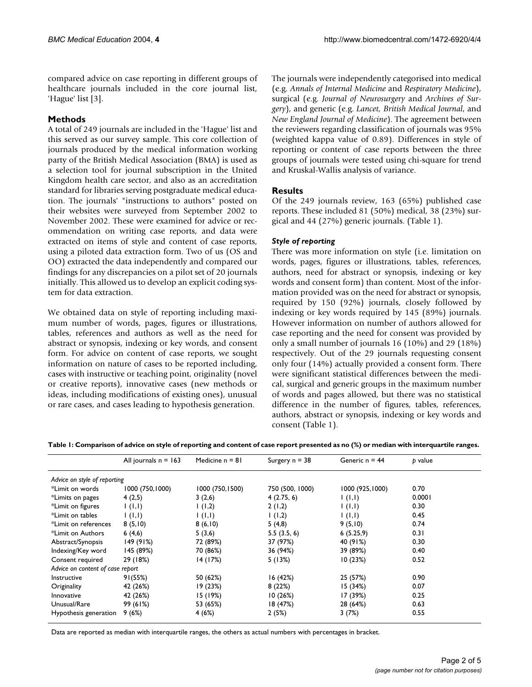compared advice on case reporting in different groups of healthcare journals included in the core journal list, 'Hague' list [3].

### **Methods**

A total of 249 journals are included in the 'Hague' list and this served as our survey sample. This core collection of journals produced by the medical information working party of the British Medical Association (BMA) is used as a selection tool for journal subscription in the United Kingdom health care sector, and also as an accreditation standard for libraries serving postgraduate medical education. The journals' "instructions to authors" posted on their websites were surveyed from September 2002 to November 2002. These were examined for advice or recommendation on writing case reports, and data were extracted on items of style and content of case reports, using a piloted data extraction form. Two of us (OS and OO) extracted the data independently and compared our findings for any discrepancies on a pilot set of 20 journals initially. This allowed us to develop an explicit coding system for data extraction.

We obtained data on style of reporting including maximum number of words, pages, figures or illustrations, tables, references and authors as well as the need for abstract or synopsis, indexing or key words, and consent form. For advice on content of case reports, we sought information on nature of cases to be reported including, cases with instructive or teaching point, originality (novel or creative reports), innovative cases (new methods or ideas, including modifications of existing ones), unusual or rare cases, and cases leading to hypothesis generation.

The journals were independently categorised into medical (e.g. *Annals of Internal Medicine* and *Respiratory Medicine*), surgical (e.g. *Journal of Neurosurgery* and *Archives of Surgery*), and generic (e.g. *Lancet, British Medical Journal*, and *New England Journal of Medicine*). The agreement between the reviewers regarding classification of journals was 95% (weighted kappa value of 0.89). Differences in style of reporting or content of case reports between the three groups of journals were tested using chi-square for trend and Kruskal-Wallis analysis of variance.

### **Results**

Of the 249 journals review, 163 (65%) published case reports. These included 81 (50%) medical, 38 (23%) surgical and 44 (27%) generic journals. (Table [1](#page-1-0)).

#### *Style of reporting*

There was more information on style (i.e. limitation on words, pages, figures or illustrations, tables, references, authors, need for abstract or synopsis, indexing or key words and consent form) than content. Most of the information provided was on the need for abstract or synopsis, required by 150 (92%) journals, closely followed by indexing or key words required by 145 (89%) journals. However information on number of authors allowed for case reporting and the need for consent was provided by only a small number of journals 16 (10%) and 29 (18%) respectively. Out of the 29 journals requesting consent only four (14%) actually provided a consent form. There were significant statistical differences between the medical, surgical and generic groups in the maximum number of words and pages allowed, but there was no statistical difference in the number of figures, tables, references, authors, abstract or synopsis, indexing or key words and consent (Table [1](#page-1-0)).

<span id="page-1-0"></span>**Table 1: Comparison of advice on style of reporting and content of case report presented as no (%) or median with interquartile ranges.**

|                                  | All journals $n = 163$ | Medicine $n = 81$ | Surgery $n = 38$ | Generic $n = 44$ | p value |
|----------------------------------|------------------------|-------------------|------------------|------------------|---------|
| Advice on style of reporting     |                        |                   |                  |                  |         |
| *Limit on words                  | 1000 (750,1000)        | 1000 (750,1500)   | 750 (500, 1000)  | 1000 (925,1000)  | 0.70    |
| *Limits on pages                 | 4(2,5)                 | 3(2,6)            | 4(2.75, 6)       | (1,1)            | 0.0001  |
| *Limit on figures                | (1,1)                  | (1,2)             | 2(1,2)           | (1,1)            | 0.30    |
| *Limit on tables                 | (1,1)                  | 1(1,1)            | (1,2)            | 1(1,1)           | 0.45    |
| *Limit on references             | 8(5,10)                | 8(6,10)           | 5(4,8)           | 9(5,10)          | 0.74    |
| *Limit on Authors                | 6(4,6)                 | 5(3,6)            | 5.5(3.5, 6)      | 6(5.25,9)        | 0.31    |
| Abstract/Synopsis                | 149 (91%)              | 72 (89%)          | 37 (97%)         | 40 (91%)         | 0.30    |
| Indexing/Key word                | 145 (89%)              | 70 (86%)          | 36 (94%)         | 39 (89%)         | 0.40    |
| Consent required                 | 29 (18%)               | 14 (17%)          | 5 (13%)          | 10(23%)          | 0.52    |
| Advice on content of case report |                        |                   |                  |                  |         |
| Instructive                      | 91(55%)                | 50 (62%)          | 16(42%)          | 25 (57%)         | 0.90    |
| Originality                      | 42 (26%)               | 19(23%)           | 8(22%)           | 15(34%)          | 0.07    |
| Innovative                       | 42 (26%)               | 15 (19%)          | 10(26%)          | 17 (39%)         | 0.25    |
| Unusual/Rare                     | 99 (61%)               | 53 (65%)          | 18(47%)          | 28 (64%)         | 0.63    |
| Hypothesis generation            | 9(6%)                  | 4(6%)             | 2(5%)            | 3(7%)            | 0.55    |

Data are reported as median with interquartile ranges, the others as actual numbers with percentages in bracket.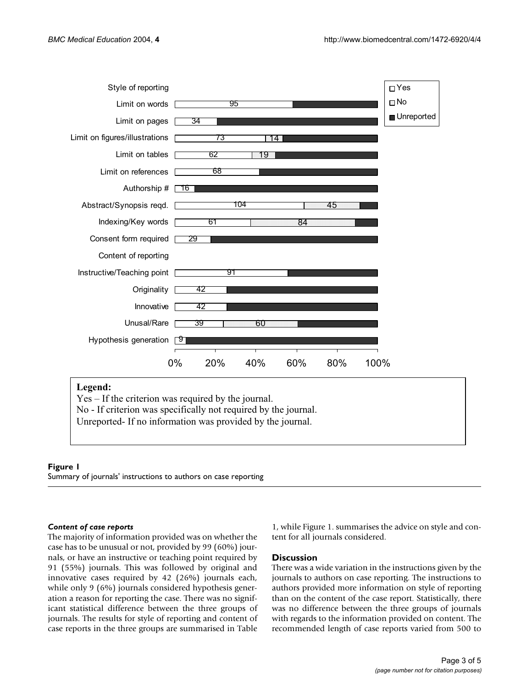

#### Figure 1

Summary of journals' instructions to authors on case reporting

#### *Content of case reports*

The majority of information provided was on whether the case has to be unusual or not, provided by 99 (60%) journals, or have an instructive or teaching point required by 91 (55%) journals. This was followed by original and innovative cases required by 42 (26%) journals each, while only 9 (6%) journals considered hypothesis generation a reason for reporting the case. There was no significant statistical difference between the three groups of journals. The results for style of reporting and content of case reports in the three groups are summarised in Table

[1](#page-1-0), while Figure 1. summarises the advice on style and content for all journals considered.

#### **Discussion**

There was a wide variation in the instructions given by the journals to authors on case reporting. The instructions to authors provided more information on style of reporting than on the content of the case report. Statistically, there was no difference between the three groups of journals with regards to the information provided on content. The recommended length of case reports varied from 500 to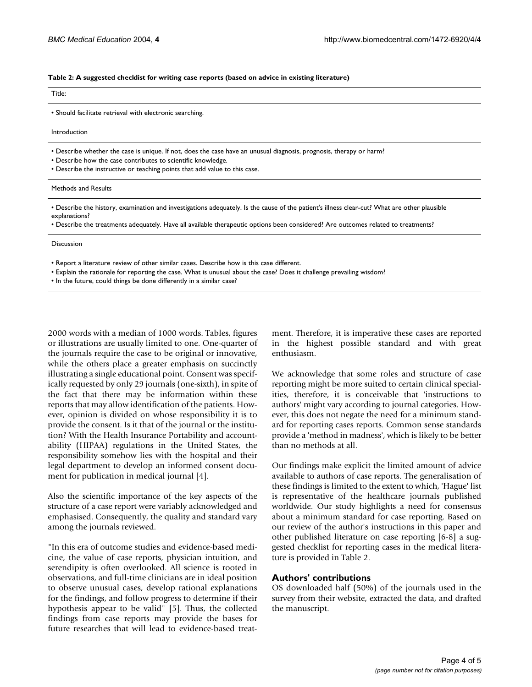#### **Table 2: A suggested checklist for writing case reports (based on advice in existing literature)**

Title:

• Should facilitate retrieval with electronic searching.

#### Introduction

• Describe whether the case is unique. If not, does the case have an unusual diagnosis, prognosis, therapy or harm?

- Describe how the case contributes to scientific knowledge.
- Describe the instructive or teaching points that add value to this case.

#### Methods and Results

• Describe the history, examination and investigations adequately. Is the cause of the patient's illness clear-cut? What are other plausible explanations?

• Describe the treatments adequately. Have all available therapeutic options been considered? Are outcomes related to treatments?

#### Discussion

• Report a literature review of other similar cases. Describe how is this case different.

• Explain the rationale for reporting the case. What is unusual about the case? Does it challenge prevailing wisdom?

• In the future, could things be done differently in a similar case?

2000 words with a median of 1000 words. Tables, figures or illustrations are usually limited to one. One-quarter of the journals require the case to be original or innovative, while the others place a greater emphasis on succinctly illustrating a single educational point. Consent was specifically requested by only 29 journals (one-sixth), in spite of the fact that there may be information within these reports that may allow identification of the patients. However, opinion is divided on whose responsibility it is to provide the consent. Is it that of the journal or the institution? With the Health Insurance Portability and accountability (HIPAA) regulations in the United States, the responsibility somehow lies with the hospital and their legal department to develop an informed consent document for publication in medical journal [4].

Also the scientific importance of the key aspects of the structure of a case report were variably acknowledged and emphasised. Consequently, the quality and standard vary among the journals reviewed.

"In this era of outcome studies and evidence-based medicine, the value of case reports, physician intuition, and serendipity is often overlooked. All science is rooted in observations, and full-time clinicians are in ideal position to observe unusual cases, develop rational explanations for the findings, and follow progress to determine if their hypothesis appear to be valid" [5]. Thus, the collected findings from case reports may provide the bases for future researches that will lead to evidence-based treatment. Therefore, it is imperative these cases are reported in the highest possible standard and with great enthusiasm.

We acknowledge that some roles and structure of case reporting might be more suited to certain clinical specialities, therefore, it is conceivable that 'instructions to authors' might vary according to journal categories. However, this does not negate the need for a minimum standard for reporting cases reports. Common sense standards provide a 'method in madness', which is likely to be better than no methods at all.

Our findings make explicit the limited amount of advice available to authors of case reports. The generalisation of these findings is limited to the extent to which, 'Hague' list is representative of the healthcare journals published worldwide. Our study highlights a need for consensus about a minimum standard for case reporting. Based on our review of the author's instructions in this paper and other published literature on case reporting [6-8] a suggested checklist for reporting cases in the medical literature is provided in Table 2.

#### **Authors' contributions**

OS downloaded half (50%) of the journals used in the survey from their website, extracted the data, and drafted the manuscript.